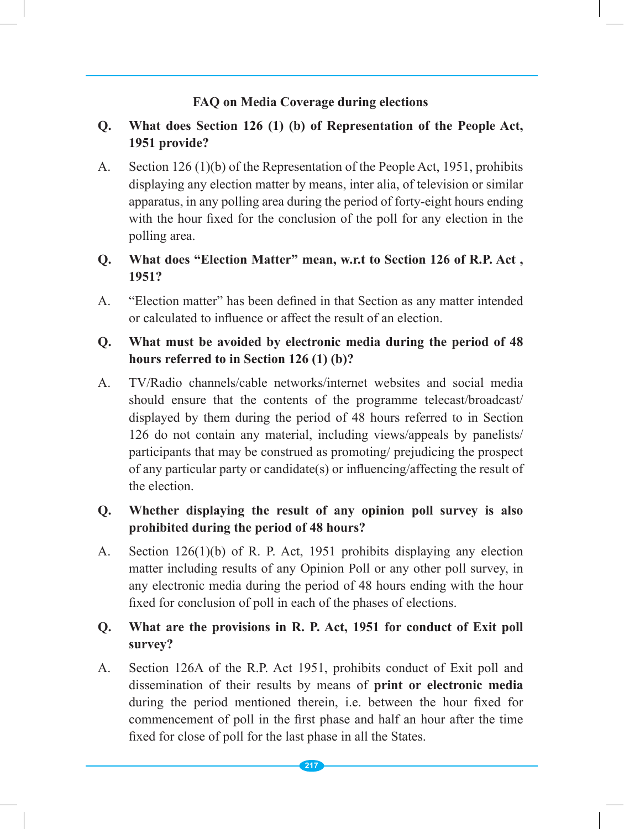#### **FAQ on Media Coverage during elections**

# **Q. What does Section 126 (1) (b) of Representation of the People Act, 1951 provide?**

- A. Section 126 (1)(b) of the Representation of the People Act, 1951, prohibits displaying any election matter by means, inter alia, of television or similar apparatus, in any polling area during the period of forty-eight hours ending with the hour fixed for the conclusion of the poll for any election in the polling area.
- **Q. What does "Election Matter" mean, w.r.t to Section 126 of R.P. Act , 1951?**
- A. "Election matter" has been defined in that Section as any matter intended or calculated to influence or affect the result of an election.

### **Q. What must be avoided by electronic media during the period of 48 hours referred to in Section 126 (1) (b)?**

A. TV/Radio channels/cable networks/internet websites and social media should ensure that the contents of the programme telecast/broadcast/ displayed by them during the period of 48 hours referred to in Section 126 do not contain any material, including views/appeals by panelists/ participants that may be construed as promoting/ prejudicing the prospect of any particular party or candidate(s) or influencing/affecting the result of the election.

### **Q. Whether displaying the result of any opinion poll survey is also prohibited during the period of 48 hours?**

A. Section 126(1)(b) of R. P. Act, 1951 prohibits displaying any election matter including results of any Opinion Poll or any other poll survey, in any electronic media during the period of 48 hours ending with the hour fixed for conclusion of poll in each of the phases of elections.

# **Q. What are the provisions in R. P. Act, 1951 for conduct of Exit poll survey?**

A. Section 126A of the R.P. Act 1951, prohibits conduct of Exit poll and dissemination of their results by means of **print or electronic media** during the period mentioned therein, i.e. between the hour fixed for commencement of poll in the first phase and half an hour after the time fixed for close of poll for the last phase in all the States.